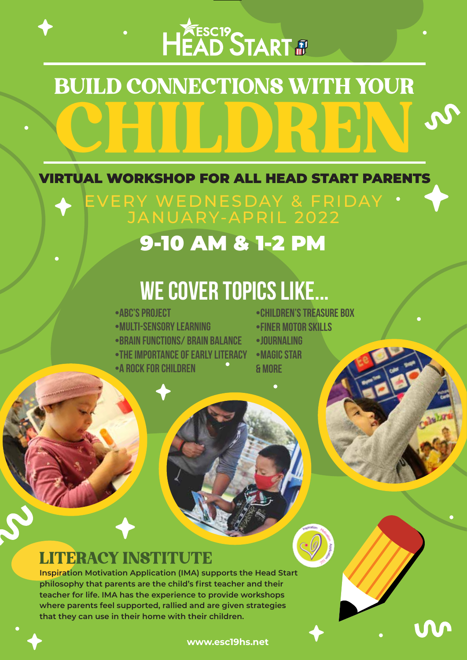## HEAD START #

# BUILD CONNECTIONS WITH YOUR CHILDREN

VIRTUAL WORKSHOP FOR ALL HEAD START PARENTS

EVERY WEDNESDAY & FRIDAY JANUARY-APRIL 2022

### 9-10 AM & 1-2 PM

## **we cover TOpics LIKE...**

- •ABC'S PROJECT
- •MULTI-SENSORY LEARNING
- •BRAIN FUNCTIONS/ BRAIN BALANCE
- •THE IMPORTANCE OF EARLY LITERACY
- •A ROCK FOR CHILDREN
- •CHILDREN'S TREASURE BOX
- •FINER MOTOR SKILLS
- •JOURNALING
- •MAGIC STAR & MORE

#### LITERACY INSTITUTE

**Inspiration Motivation Application (IMA) supports the Head Start philosophy that parents are the child's first teacher and their teacher for life. IMA has the experience to provide workshops where parents feel supported, rallied and are given strategies that they can use in their home with their children.**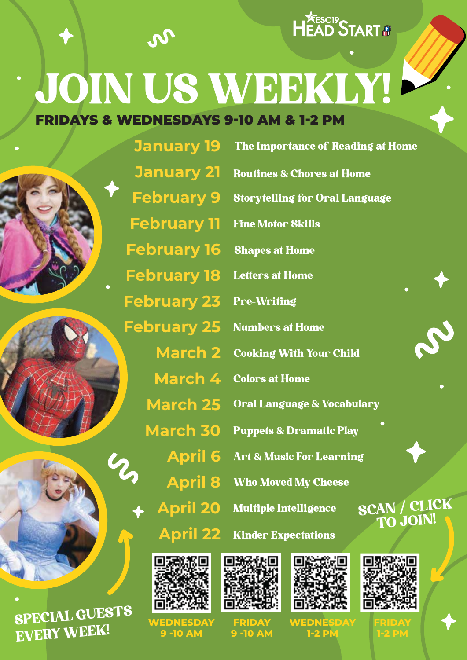

## FRIDAYS & WEDNESDAYS 9-10 AM & 1-2 PM JOIN US WEEKLY!

 $\boldsymbol{\vartheta}$ 





SPECIAL GUESTS EVERY WEEK!

**January 19 January 21 February 9 February 11 February 16 February 18 February 23 February 25 March 2 March 4 March 25 March 30 April 6 April 8 April 20 April 22** The Importance of Reading at Home Routines & Chores at Home Storytelling for Oral Language Fine Motor Skills Shapes at Home **Letters at Home** Pre-Writing Numbers at Home Cooking With Your Child Colors at Home Oral Language & Vocabulary

Puppets & Dramatic Play Art & Music For Learning Who Moved My Cheese Multiple Intelligence SCAN / CLICK





**[WEDNESDAY](https://us02web.zoom.us/meeting/register/tZAvc--vrjkoG9Kx_WMbaajqDwcInVkmgSH4) 9 -10 AM**



**[FRIDAY](https://us02web.zoom.us/meeting/register/tZcvduivqDMpHtfVJsgRM3r0vtERhxx5Nmzk) 9 -10 AM**



**[WEDNESDAY](https://us02web.zoom.us/meeting/register/tZYocuuorT0sHdEu7P0pFfX9VXjLyNDkn9vu) 1-2 PM**



TO JOIN!

**[FRIDAY](https://us02web.zoom.us/meeting/register/tZ0scu-qrD0jGtzCPeMn1sPZu4opSzYQGe8F) 1-2 PM**

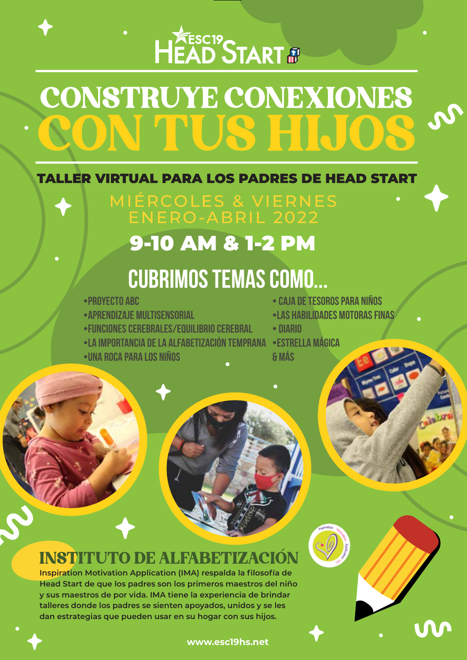# HEAD START &

## CONSTRUYE CONEXIONES CON TUS HIJOS

#### TALLER VIRTUAL PARA LOS PADRES DE HEAD START

MIÉRCOLES & VIERNES ENERO-ABRIL 2022

### 9-10 AM & 1-2 PM

### **cubrimos temas como...**

- •PROYECTO ABC
- •APRENDIZAJE MULTISENSORIAL
- •FUNCIONES CEREBRALES/EQUILIBRIO CEREBRAL
- •LA IMPORTANCIA DE LA ALFABETIZACIÓN TEMPRANA •ESTRELLA MÁGICA
- •UNA ROCA PARA LOS NIÑOS
- CAJA DE TESOROS PARA NIÑOS
- •LAS HABILIDADES MOTORAS FINAS
- DIARIO
- & MÁS

### INSTITUTO DE ALFABETIZACIÓN

**Inspiration Motivation Application (IMA) respalda la filosofía de Head Start de que los padres son los primeros maestros del niño y sus maestros de por vida. IMA tiene la experiencia de brindar talleres donde los padres se sienten apoyados, unidos y se les dan estrategias que pueden usar en su hogar con sus hijos.**